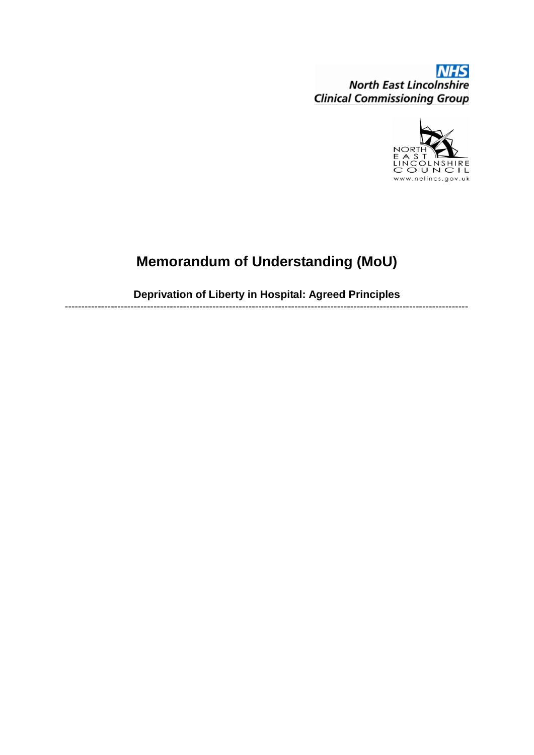**NHS North East Lincolnshire Clinical Commissioning Group** 



# **Memorandum of Understanding (MoU)**

**Deprivation of Liberty in Hospital: Agreed Principles**  ---------------------------------------------------------------------------------------------------------------------------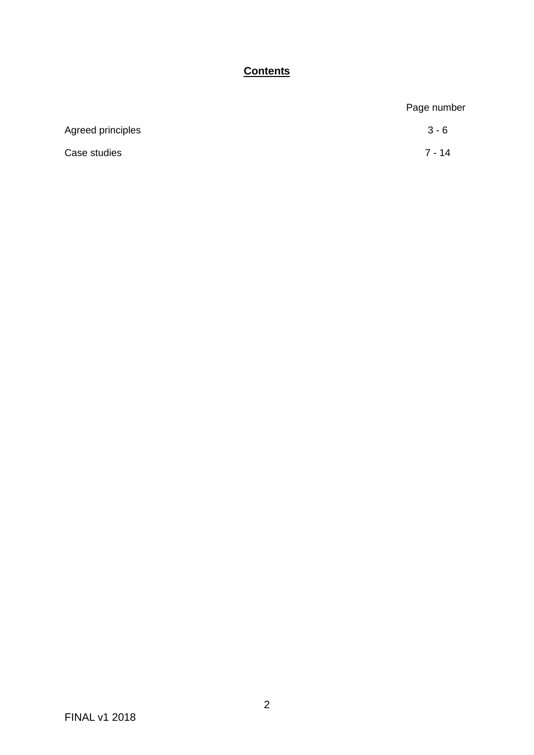# **Contents**

|                   | Page number |
|-------------------|-------------|
| Agreed principles | $3 - 6$     |
| Case studies      | $7 - 14$    |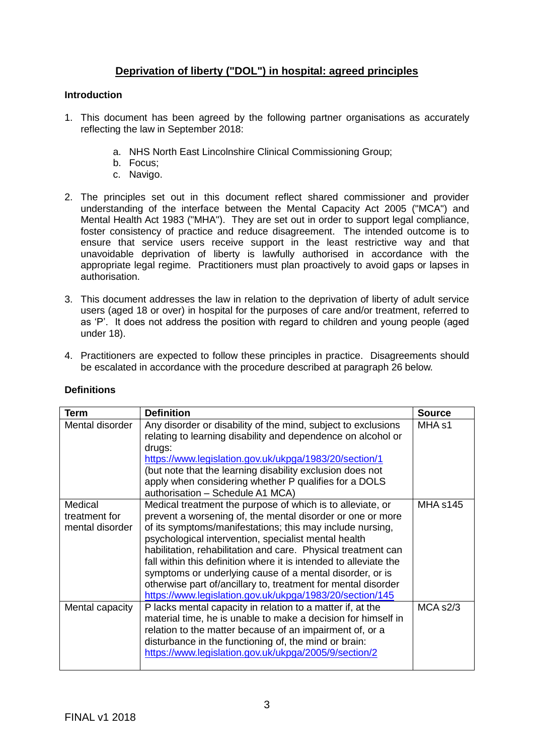# **Deprivation of liberty ("DOL") in hospital: agreed principles**

#### **Introduction**

- 1. This document has been agreed by the following partner organisations as accurately reflecting the law in September 2018:
	- a. NHS North East Lincolnshire Clinical Commissioning Group;
	- b. Focus;
	- c. Navigo.
- 2. The principles set out in this document reflect shared commissioner and provider understanding of the interface between the Mental Capacity Act 2005 ("MCA") and Mental Health Act 1983 ("MHA"). They are set out in order to support legal compliance, foster consistency of practice and reduce disagreement. The intended outcome is to ensure that service users receive support in the least restrictive way and that unavoidable deprivation of liberty is lawfully authorised in accordance with the appropriate legal regime. Practitioners must plan proactively to avoid gaps or lapses in authorisation.
- 3. This document addresses the law in relation to the deprivation of liberty of adult service users (aged 18 or over) in hospital for the purposes of care and/or treatment, referred to as 'P'. It does not address the position with regard to children and young people (aged under 18).
- 4. Practitioners are expected to follow these principles in practice. Disagreements should be escalated in accordance with the procedure described at paragraph 26 below.

| Term                                        | <b>Definition</b>                                                                                                                                                                                                                                                                                                                                                                                                                                                                                                                                                            | <b>Source</b>     |
|---------------------------------------------|------------------------------------------------------------------------------------------------------------------------------------------------------------------------------------------------------------------------------------------------------------------------------------------------------------------------------------------------------------------------------------------------------------------------------------------------------------------------------------------------------------------------------------------------------------------------------|-------------------|
| Mental disorder                             | Any disorder or disability of the mind, subject to exclusions<br>relating to learning disability and dependence on alcohol or<br>drugs:<br>https://www.legislation.gov.uk/ukpga/1983/20/section/1<br>(but note that the learning disability exclusion does not<br>apply when considering whether P qualifies for a DOLS<br>authorisation - Schedule A1 MCA)                                                                                                                                                                                                                  | MHA <sub>s1</sub> |
| Medical<br>treatment for<br>mental disorder | Medical treatment the purpose of which is to alleviate, or<br>prevent a worsening of, the mental disorder or one or more<br>of its symptoms/manifestations; this may include nursing,<br>psychological intervention, specialist mental health<br>habilitation, rehabilitation and care. Physical treatment can<br>fall within this definition where it is intended to alleviate the<br>symptoms or underlying cause of a mental disorder, or is<br>otherwise part of/ancillary to, treatment for mental disorder<br>https://www.legislation.gov.uk/ukpga/1983/20/section/145 | <b>MHA s145</b>   |
| Mental capacity                             | P lacks mental capacity in relation to a matter if, at the<br>material time, he is unable to make a decision for himself in<br>relation to the matter because of an impairment of, or a<br>disturbance in the functioning of, the mind or brain:<br>https://www.legislation.gov.uk/ukpga/2005/9/section/2                                                                                                                                                                                                                                                                    | MCA S2/3          |

#### **Definitions**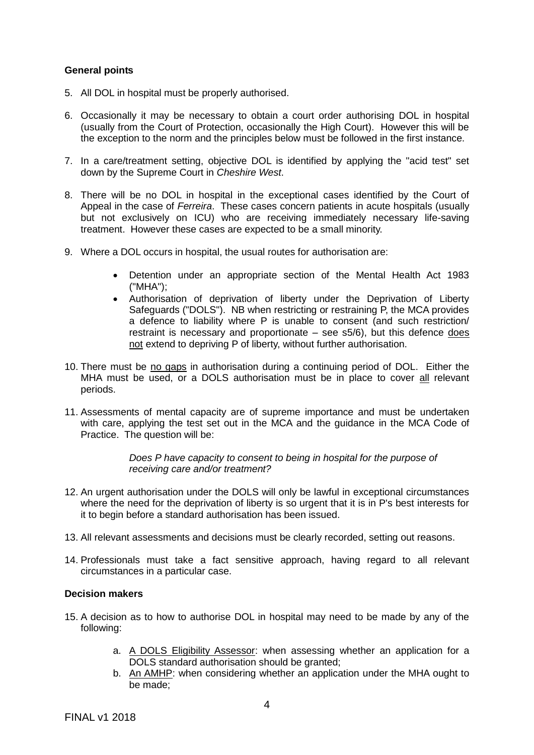### **General points**

- 5. All DOL in hospital must be properly authorised.
- 6. Occasionally it may be necessary to obtain a court order authorising DOL in hospital (usually from the Court of Protection, occasionally the High Court). However this will be the exception to the norm and the principles below must be followed in the first instance.
- 7. In a care/treatment setting, objective DOL is identified by applying the "acid test" set down by the Supreme Court in *Cheshire West*.
- 8. There will be no DOL in hospital in the exceptional cases identified by the Court of Appeal in the case of *Ferreira*. These cases concern patients in acute hospitals (usually but not exclusively on ICU) who are receiving immediately necessary life-saving treatment. However these cases are expected to be a small minority.
- 9. Where a DOL occurs in hospital, the usual routes for authorisation are:
	- Detention under an appropriate section of the Mental Health Act 1983 ("MHA");
	- Authorisation of deprivation of liberty under the Deprivation of Liberty Safeguards ("DOLS"). NB when restricting or restraining P, the MCA provides a defence to liability where P is unable to consent (and such restriction/ restraint is necessary and proportionate – see s5/6), but this defence does not extend to depriving P of liberty, without further authorisation.
- 10. There must be no gaps in authorisation during a continuing period of DOL. Either the MHA must be used, or a DOLS authorisation must be in place to cover all relevant periods.
- 11. Assessments of mental capacity are of supreme importance and must be undertaken with care, applying the test set out in the MCA and the guidance in the MCA Code of Practice. The question will be:

*Does P have capacity to consent to being in hospital for the purpose of receiving care and/or treatment?* 

- 12. An urgent authorisation under the DOLS will only be lawful in exceptional circumstances where the need for the deprivation of liberty is so urgent that it is in P's best interests for it to begin before a standard authorisation has been issued.
- 13. All relevant assessments and decisions must be clearly recorded, setting out reasons.
- 14. Professionals must take a fact sensitive approach, having regard to all relevant circumstances in a particular case.

#### **Decision makers**

- 15. A decision as to how to authorise DOL in hospital may need to be made by any of the following:
	- a. A DOLS Eligibility Assessor: when assessing whether an application for a DOLS standard authorisation should be granted;
	- b. An AMHP: when considering whether an application under the MHA ought to be made;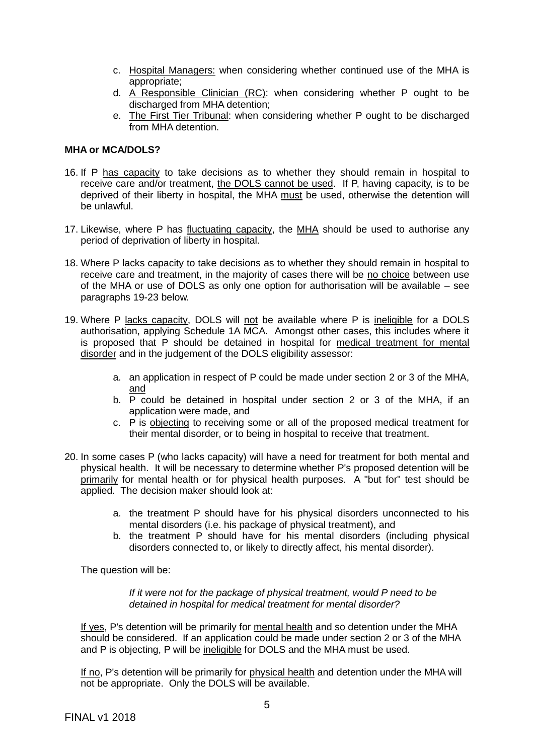- c. Hospital Managers: when considering whether continued use of the MHA is appropriate;
- d. A Responsible Clinician (RC): when considering whether P ought to be discharged from MHA detention;
- e. The First Tier Tribunal: when considering whether P ought to be discharged from MHA detention.

#### **MHA or MCA/DOLS?**

- 16. If P has capacity to take decisions as to whether they should remain in hospital to receive care and/or treatment, the DOLS cannot be used. If P, having capacity, is to be deprived of their liberty in hospital, the MHA must be used, otherwise the detention will be unlawful.
- 17. Likewise, where P has fluctuating capacity, the MHA should be used to authorise any period of deprivation of liberty in hospital.
- 18. Where P lacks capacity to take decisions as to whether they should remain in hospital to receive care and treatment, in the majority of cases there will be no choice between use of the MHA or use of DOLS as only one option for authorisation will be available – see paragraphs 19-23 below.
- 19. Where P lacks capacity, DOLS will not be available where P is ineligible for a DOLS authorisation, applying Schedule 1A MCA. Amongst other cases, this includes where it is proposed that P should be detained in hospital for medical treatment for mental disorder and in the judgement of the DOLS eligibility assessor:
	- a. an application in respect of P could be made under section 2 or 3 of the MHA, and
	- b. P could be detained in hospital under section 2 or 3 of the MHA, if an application were made, and
	- c. P is objecting to receiving some or all of the proposed medical treatment for their mental disorder, or to being in hospital to receive that treatment.
- 20. In some cases P (who lacks capacity) will have a need for treatment for both mental and physical health. It will be necessary to determine whether P's proposed detention will be primarily for mental health or for physical health purposes. A "but for" test should be applied. The decision maker should look at:
	- a. the treatment P should have for his physical disorders unconnected to his mental disorders (i.e. his package of physical treatment), and
	- b. the treatment P should have for his mental disorders (including physical disorders connected to, or likely to directly affect, his mental disorder).

The question will be:

*If it were not for the package of physical treatment, would P need to be detained in hospital for medical treatment for mental disorder?*

If yes, P's detention will be primarily for mental health and so detention under the MHA should be considered. If an application could be made under section 2 or 3 of the MHA and P is objecting, P will be ineligible for DOLS and the MHA must be used.

If no, P's detention will be primarily for physical health and detention under the MHA will not be appropriate. Only the DOLS will be available.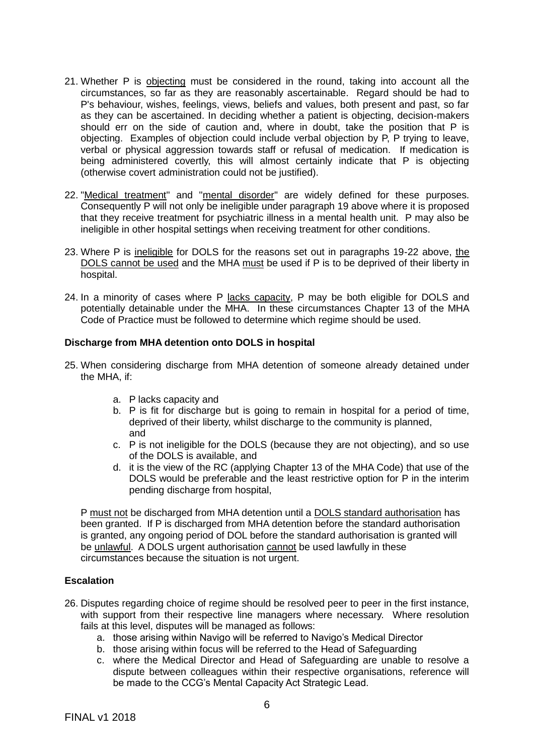- 21. Whether P is objecting must be considered in the round, taking into account all the circumstances, so far as they are reasonably ascertainable. Regard should be had to P's behaviour, wishes, feelings, views, beliefs and values, both present and past, so far as they can be ascertained. In deciding whether a patient is objecting, decision-makers should err on the side of caution and, where in doubt, take the position that P is objecting. Examples of objection could include verbal objection by P, P trying to leave, verbal or physical aggression towards staff or refusal of medication. If medication is being administered covertly, this will almost certainly indicate that P is objecting (otherwise covert administration could not be justified).
- 22. "Medical treatment" and "mental disorder" are widely defined for these purposes. Consequently P will not only be ineligible under paragraph 19 above where it is proposed that they receive treatment for psychiatric illness in a mental health unit. P may also be ineligible in other hospital settings when receiving treatment for other conditions.
- 23. Where P is ineligible for DOLS for the reasons set out in paragraphs 19-22 above, the DOLS cannot be used and the MHA must be used if P is to be deprived of their liberty in hospital.
- 24. In a minority of cases where P lacks capacity, P may be both eligible for DOLS and potentially detainable under the MHA. In these circumstances Chapter 13 of the MHA Code of Practice must be followed to determine which regime should be used.

#### **Discharge from MHA detention onto DOLS in hospital**

- 25. When considering discharge from MHA detention of someone already detained under the MHA, if:
	- a. P lacks capacity and
	- b. P is fit for discharge but is going to remain in hospital for a period of time, deprived of their liberty, whilst discharge to the community is planned, and
	- c. P is not ineligible for the DOLS (because they are not objecting), and so use of the DOLS is available, and
	- d. it is the view of the RC (applying Chapter 13 of the MHA Code) that use of the DOLS would be preferable and the least restrictive option for P in the interim pending discharge from hospital,

P must not be discharged from MHA detention until a DOLS standard authorisation has been granted. If P is discharged from MHA detention before the standard authorisation is granted, any ongoing period of DOL before the standard authorisation is granted will be unlawful. A DOLS urgent authorisation cannot be used lawfully in these circumstances because the situation is not urgent.

#### **Escalation**

- 26. Disputes regarding choice of regime should be resolved peer to peer in the first instance, with support from their respective line managers where necessary. Where resolution fails at this level, disputes will be managed as follows:
	- a. those arising within Navigo will be referred to Navigo's Medical Director
	- b. those arising within focus will be referred to the Head of Safeguarding
	- c. where the Medical Director and Head of Safeguarding are unable to resolve a dispute between colleagues within their respective organisations, reference will be made to the CCG's Mental Capacity Act Strategic Lead.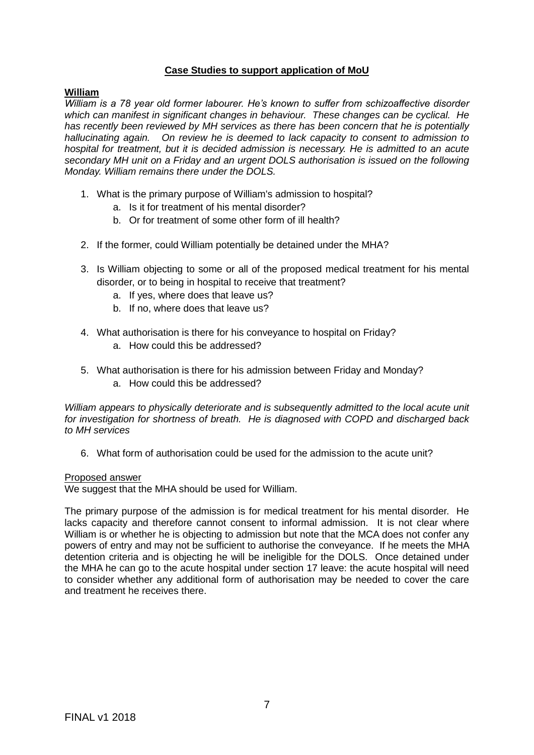#### **Case Studies to support application of MoU**

#### **William**

*William is a 78 year old former labourer. He's known to suffer from schizoaffective disorder which can manifest in significant changes in behaviour. These changes can be cyclical. He has recently been reviewed by MH services as there has been concern that he is potentially hallucinating again. On review he is deemed to lack capacity to consent to admission to hospital for treatment, but it is decided admission is necessary. He is admitted to an acute secondary MH unit on a Friday and an urgent DOLS authorisation is issued on the following Monday. William remains there under the DOLS.* 

- 1. What is the primary purpose of William's admission to hospital?
	- a. Is it for treatment of his mental disorder?
	- b. Or for treatment of some other form of ill health?
- 2. If the former, could William potentially be detained under the MHA?
- 3. Is William objecting to some or all of the proposed medical treatment for his mental disorder, or to being in hospital to receive that treatment?
	- a. If yes, where does that leave us?
	- b. If no, where does that leave us?
- 4. What authorisation is there for his conveyance to hospital on Friday?
	- a. How could this be addressed?
- 5. What authorisation is there for his admission between Friday and Monday?
	- a. How could this be addressed?

*William appears to physically deteriorate and is subsequently admitted to the local acute unit for investigation for shortness of breath. He is diagnosed with COPD and discharged back to MH services* 

6. What form of authorisation could be used for the admission to the acute unit?

#### Proposed answer

We suggest that the MHA should be used for William.

The primary purpose of the admission is for medical treatment for his mental disorder. He lacks capacity and therefore cannot consent to informal admission. It is not clear where William is or whether he is objecting to admission but note that the MCA does not confer any powers of entry and may not be sufficient to authorise the conveyance. If he meets the MHA detention criteria and is objecting he will be ineligible for the DOLS. Once detained under the MHA he can go to the acute hospital under section 17 leave: the acute hospital will need to consider whether any additional form of authorisation may be needed to cover the care and treatment he receives there.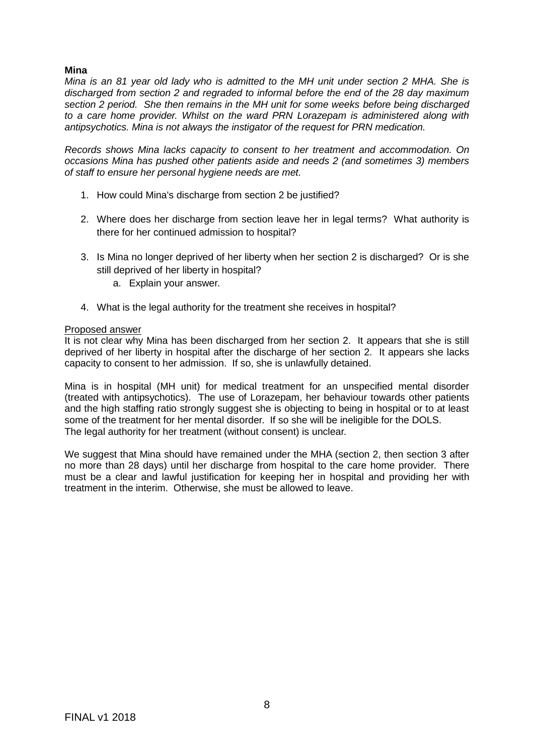### **Mina**

*Mina is an 81 year old lady who is admitted to the MH unit under section 2 MHA. She is discharged from section 2 and regraded to informal before the end of the 28 day maximum section 2 period. She then remains in the MH unit for some weeks before being discharged to a care home provider. Whilst on the ward PRN Lorazepam is administered along with antipsychotics. Mina is not always the instigator of the request for PRN medication.*

*Records shows Mina lacks capacity to consent to her treatment and accommodation. On occasions Mina has pushed other patients aside and needs 2 (and sometimes 3) members of staff to ensure her personal hygiene needs are met.*

- 1. How could Mina's discharge from section 2 be justified?
- 2. Where does her discharge from section leave her in legal terms? What authority is there for her continued admission to hospital?
- 3. Is Mina no longer deprived of her liberty when her section 2 is discharged? Or is she still deprived of her liberty in hospital?
	- a. Explain your answer.
- 4. What is the legal authority for the treatment she receives in hospital?

#### Proposed answer

It is not clear why Mina has been discharged from her section 2. It appears that she is still deprived of her liberty in hospital after the discharge of her section 2. It appears she lacks capacity to consent to her admission. If so, she is unlawfully detained.

Mina is in hospital (MH unit) for medical treatment for an unspecified mental disorder (treated with antipsychotics). The use of Lorazepam, her behaviour towards other patients and the high staffing ratio strongly suggest she is objecting to being in hospital or to at least some of the treatment for her mental disorder. If so she will be ineligible for the DOLS. The legal authority for her treatment (without consent) is unclear.

We suggest that Mina should have remained under the MHA (section 2, then section 3 after no more than 28 days) until her discharge from hospital to the care home provider. There must be a clear and lawful justification for keeping her in hospital and providing her with treatment in the interim. Otherwise, she must be allowed to leave.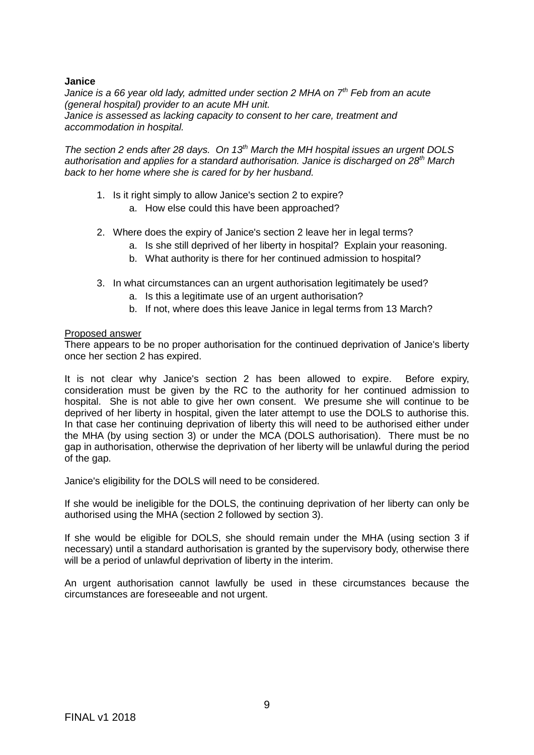#### **Janice**

*Janice is a 66 year old lady, admitted under section 2 MHA on 7th Feb from an acute (general hospital) provider to an acute MH unit. Janice is assessed as lacking capacity to consent to her care, treatment and accommodation in hospital.* 

*The section 2 ends after 28 days. On 13th March the MH hospital issues an urgent DOLS authorisation and applies for a standard authorisation. Janice is discharged on 28th March back to her home where she is cared for by her husband.* 

- 1. Is it right simply to allow Janice's section 2 to expire?
	- a. How else could this have been approached?
- 2. Where does the expiry of Janice's section 2 leave her in legal terms?
	- a. Is she still deprived of her liberty in hospital? Explain your reasoning.
	- b. What authority is there for her continued admission to hospital?
- 3. In what circumstances can an urgent authorisation legitimately be used?
	- a. Is this a legitimate use of an urgent authorisation?
	- b. If not, where does this leave Janice in legal terms from 13 March?

#### Proposed answer

There appears to be no proper authorisation for the continued deprivation of Janice's liberty once her section 2 has expired.

It is not clear why Janice's section 2 has been allowed to expire. Before expiry, consideration must be given by the RC to the authority for her continued admission to hospital. She is not able to give her own consent. We presume she will continue to be deprived of her liberty in hospital, given the later attempt to use the DOLS to authorise this. In that case her continuing deprivation of liberty this will need to be authorised either under the MHA (by using section 3) or under the MCA (DOLS authorisation). There must be no gap in authorisation, otherwise the deprivation of her liberty will be unlawful during the period of the gap.

Janice's eligibility for the DOLS will need to be considered.

If she would be ineligible for the DOLS, the continuing deprivation of her liberty can only be authorised using the MHA (section 2 followed by section 3).

If she would be eligible for DOLS, she should remain under the MHA (using section 3 if necessary) until a standard authorisation is granted by the supervisory body, otherwise there will be a period of unlawful deprivation of liberty in the interim.

An urgent authorisation cannot lawfully be used in these circumstances because the circumstances are foreseeable and not urgent.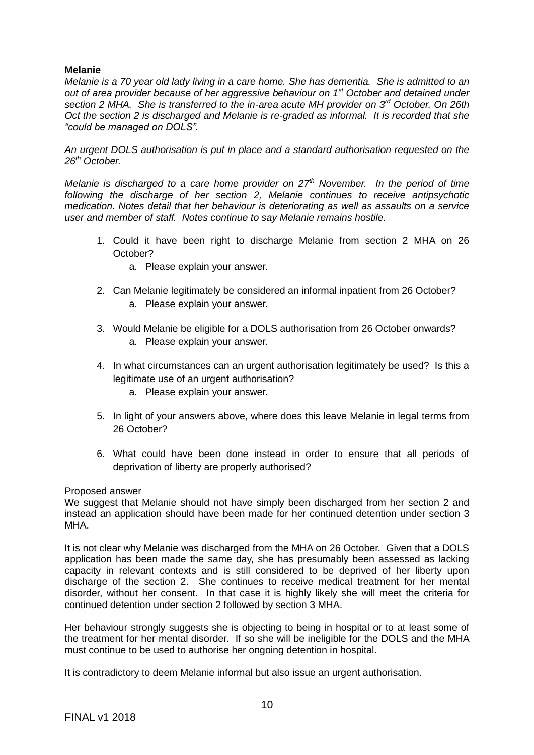# **Melanie**

*Melanie is a 70 year old lady living in a care home. She has dementia. She is admitted to an out of area provider because of her aggressive behaviour on 1st October and detained under section 2 MHA. She is transferred to the in-area acute MH provider on 3rd October. On 26th Oct the section 2 is discharged and Melanie is re-graded as informal. It is recorded that she "could be managed on DOLS".* 

*An urgent DOLS authorisation is put in place and a standard authorisation requested on the 26th October.*

*Melanie is discharged to a care home provider on 27th November. In the period of time following the discharge of her section 2, Melanie continues to receive antipsychotic medication. Notes detail that her behaviour is deteriorating as well as assaults on a service user and member of staff. Notes continue to say Melanie remains hostile.*

- 1. Could it have been right to discharge Melanie from section 2 MHA on 26 October?
	- a. Please explain your answer.
- 2. Can Melanie legitimately be considered an informal inpatient from 26 October? a. Please explain your answer.
- 3. Would Melanie be eligible for a DOLS authorisation from 26 October onwards? a. Please explain your answer.
- 4. In what circumstances can an urgent authorisation legitimately be used? Is this a legitimate use of an urgent authorisation?
	- a. Please explain your answer.
- 5. In light of your answers above, where does this leave Melanie in legal terms from 26 October?
- 6. What could have been done instead in order to ensure that all periods of deprivation of liberty are properly authorised?

#### Proposed answer

We suggest that Melanie should not have simply been discharged from her section 2 and instead an application should have been made for her continued detention under section 3 MHA.

It is not clear why Melanie was discharged from the MHA on 26 October. Given that a DOLS application has been made the same day, she has presumably been assessed as lacking capacity in relevant contexts and is still considered to be deprived of her liberty upon discharge of the section 2. She continues to receive medical treatment for her mental disorder, without her consent. In that case it is highly likely she will meet the criteria for continued detention under section 2 followed by section 3 MHA.

Her behaviour strongly suggests she is objecting to being in hospital or to at least some of the treatment for her mental disorder. If so she will be ineligible for the DOLS and the MHA must continue to be used to authorise her ongoing detention in hospital.

It is contradictory to deem Melanie informal but also issue an urgent authorisation.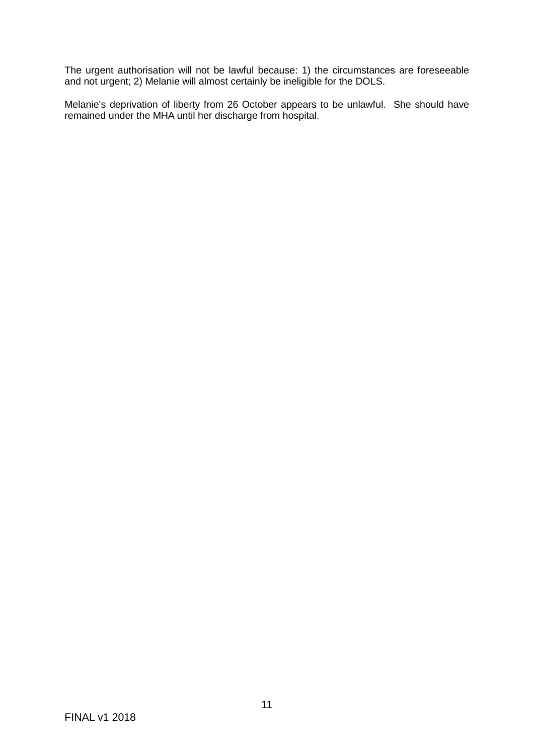The urgent authorisation will not be lawful because: 1) the circumstances are foreseeable and not urgent; 2) Melanie will almost certainly be ineligible for the DOLS.

Melanie's deprivation of liberty from 26 October appears to be unlawful. She should have remained under the MHA until her discharge from hospital.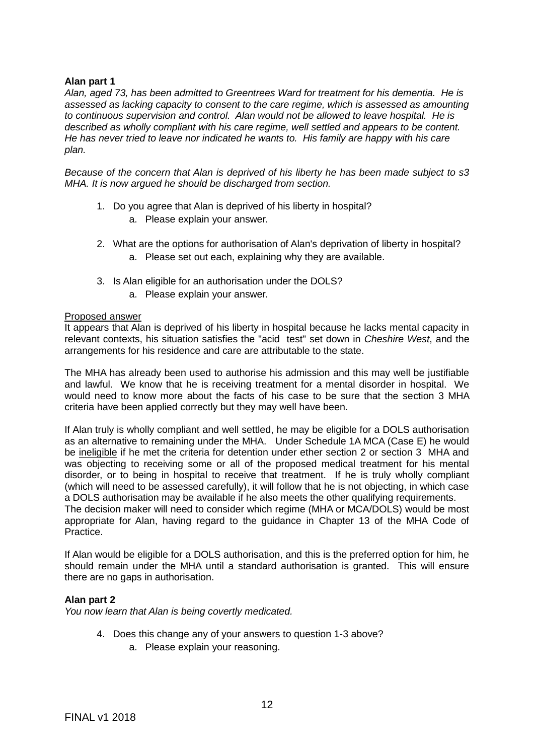#### **Alan part 1**

*Alan, aged 73, has been admitted to Greentrees Ward for treatment for his dementia. He is assessed as lacking capacity to consent to the care regime, which is assessed as amounting to continuous supervision and control. Alan would not be allowed to leave hospital. He is described as wholly compliant with his care regime, well settled and appears to be content. He has never tried to leave nor indicated he wants to. His family are happy with his care plan.* 

*Because of the concern that Alan is deprived of his liberty he has been made subject to s3 MHA. It is now argued he should be discharged from section.*

- 1. Do you agree that Alan is deprived of his liberty in hospital?
	- a. Please explain your answer.
- 2. What are the options for authorisation of Alan's deprivation of liberty in hospital? a. Please set out each, explaining why they are available.
- 3. Is Alan eligible for an authorisation under the DOLS? a. Please explain your answer.

#### Proposed answer

It appears that Alan is deprived of his liberty in hospital because he lacks mental capacity in relevant contexts, his situation satisfies the "acid test" set down in *Cheshire West*, and the arrangements for his residence and care are attributable to the state.

The MHA has already been used to authorise his admission and this may well be justifiable and lawful. We know that he is receiving treatment for a mental disorder in hospital. We would need to know more about the facts of his case to be sure that the section 3 MHA criteria have been applied correctly but they may well have been.

If Alan truly is wholly compliant and well settled, he may be eligible for a DOLS authorisation as an alternative to remaining under the MHA. Under Schedule 1A MCA (Case E) he would be ineligible if he met the criteria for detention under ether section 2 or section 3 MHA and was objecting to receiving some or all of the proposed medical treatment for his mental disorder, or to being in hospital to receive that treatment. If he is truly wholly compliant (which will need to be assessed carefully), it will follow that he is not objecting, in which case a DOLS authorisation may be available if he also meets the other qualifying requirements.

The decision maker will need to consider which regime (MHA or MCA/DOLS) would be most appropriate for Alan, having regard to the guidance in Chapter 13 of the MHA Code of Practice.

If Alan would be eligible for a DOLS authorisation, and this is the preferred option for him, he should remain under the MHA until a standard authorisation is granted. This will ensure there are no gaps in authorisation.

#### **Alan part 2**

*You now learn that Alan is being covertly medicated.*

- 4. Does this change any of your answers to question 1-3 above?
	- a. Please explain your reasoning.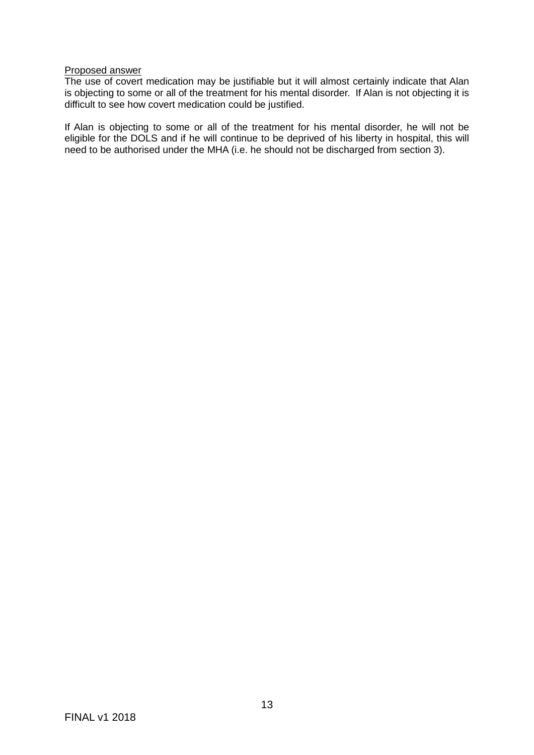# Proposed answer

The use of covert medication may be justifiable but it will almost certainly indicate that Alan is objecting to some or all of the treatment for his mental disorder. If Alan is not objecting it is difficult to see how covert medication could be justified.

If Alan is objecting to some or all of the treatment for his mental disorder, he will not be eligible for the DOLS and if he will continue to be deprived of his liberty in hospital, this will need to be authorised under the MHA (i.e. he should not be discharged from section 3).